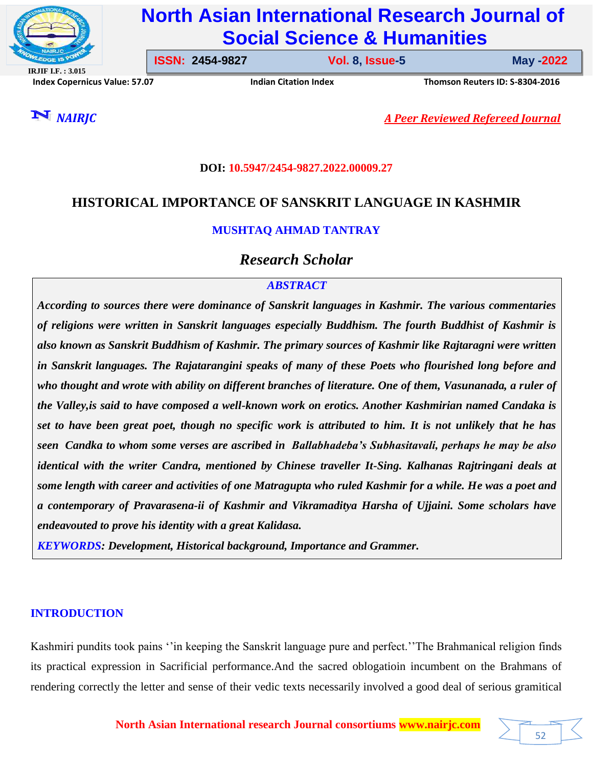

# **North Asian International Research Journal of Social Science & Humanities**

**IRJIF I.F. : 3.015 Index Copernicus Value: 57.07****Indian Citation Index****Thomson Reuters ID: S-8304-2016** 

**ISSN: 2454-9827 Vol. 8, Issue-5** 

**Issue-5 May -2022**

52

*NAIRJC A Peer Reviewed Refereed Journal*

### **DOI: 10.5947/2454-9827.2022.00009.27**

## **HISTORICAL IMPORTANCE OF SANSKRIT LANGUAGE IN KASHMIR**

## **MUSHTAQ AHMAD TANTRAY**

*Research Scholar*

## *ABSTRACT*

*According to sources there were dominance of Sanskrit languages in Kashmir. The various commentaries of religions were written in Sanskrit languages especially Buddhism. The fourth Buddhist of Kashmir is also known as Sanskrit Buddhism of Kashmir. The primary sources of Kashmir like Rajtaragni were written in Sanskrit languages. The Rajatarangini speaks of many of these Poets who flourished long before and who thought and wrote with ability on different branches of literature. One of them, Vasunanada, a ruler of the Valley,is said to have composed a well-known work on erotics. Another Kashmirian named Candaka is set to have been great poet, though no specific work is attributed to him. It is not unlikely that he has seen Candka to whom some verses are ascribed in Ballabhadeba's Subhasitavali, perhaps he may be also identical with the writer Candra, mentioned by Chinese traveller It-Sing. Kalhanas Rajtringani deals at some length with career and activities of one Matragupta who ruled Kashmir for a while. He was a poet and a contemporary of Pravarasena-ii of Kashmir and Vikramaditya Harsha of Ujjaini. Some scholars have endeavouted to prove his identity with a great Kalidasa.*

*KEYWORDS: Development, Historical background, Importance and Grammer.*

## **INTRODUCTION**

Kashmiri pundits took pains ''in keeping the Sanskrit language pure and perfect.''The Brahmanical religion finds its practical expression in Sacrificial performance.And the sacred oblogatioin incumbent on the Brahmans of rendering correctly the letter and sense of their vedic texts necessarily involved a good deal of serious gramitical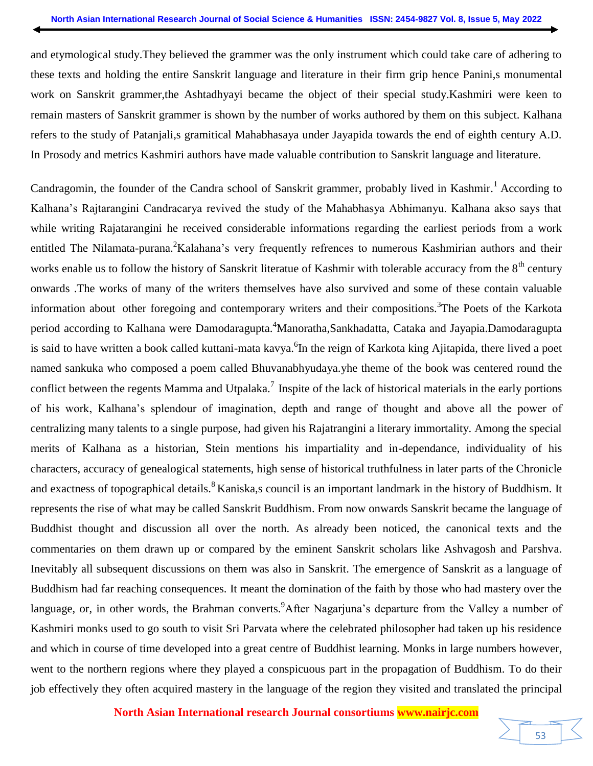and etymological study.They believed the grammer was the only instrument which could take care of adhering to these texts and holding the entire Sanskrit language and literature in their firm grip hence Panini,s monumental work on Sanskrit grammer,the Ashtadhyayi became the object of their special study.Kashmiri were keen to remain masters of Sanskrit grammer is shown by the number of works authored by them on this subject. Kalhana refers to the study of Patanjali,s gramitical Mahabhasaya under Jayapida towards the end of eighth century A.D. In Prosody and metrics Kashmiri authors have made valuable contribution to Sanskrit language and literature.

Candragomin, the founder of the Candra school of Sanskrit grammer, probably lived in Kashmir.<sup>1</sup> According to Kalhana's Rajtarangini Candracarya revived the study of the Mahabhasya Abhimanyu. Kalhana akso says that while writing Rajatarangini he received considerable informations regarding the earliest periods from a work entitled The Nilamata-purana. <sup>2</sup>Kalahana's very frequently refrences to numerous Kashmirian authors and their works enable us to follow the history of Sanskrit literatue of Kashmir with tolerable accuracy from the  $8<sup>th</sup>$  century onwards .The works of many of the writers themselves have also survived and some of these contain valuable information about other foregoing and contemporary writers and their compositions.<sup>3</sup>The Poets of the Karkota period according to Kalhana were Damodaragupta.<sup>4</sup>Manoratha,Sankhadatta, Cataka and Jayapia.Damodaragupta is said to have written a book called kuttani-mata kavya. <sup>6</sup>In the reign of Karkota king Ajitapida, there lived a poet named sankuka who composed a poem called Bhuvanabhyudaya.yhe theme of the book was centered round the conflict between the regents Mamma and Utpalaka.<sup>7</sup> Inspite of the lack of historical materials in the early portions of his work, Kalhana's splendour of imagination, depth and range of thought and above all the power of centralizing many talents to a single purpose, had given his Rajatrangini a literary immortality. Among the special merits of Kalhana as a historian, Stein mentions his impartiality and in-dependance, individuality of his characters, accuracy of genealogical statements, high sense of historical truthfulness in later parts of the Chronicle and exactness of topographical details.<sup>8</sup> Kaniska,s council is an important landmark in the history of Buddhism. It represents the rise of what may be called Sanskrit Buddhism. From now onwards Sanskrit became the language of Buddhist thought and discussion all over the north. As already been noticed, the canonical texts and the commentaries on them drawn up or compared by the eminent Sanskrit scholars like Ashvagosh and Parshva. Inevitably all subsequent discussions on them was also in Sanskrit. The emergence of Sanskrit as a language of Buddhism had far reaching consequences. It meant the domination of the faith by those who had mastery over the language, or, in other words, the Brahman converts. After Nagarjuna's departure from the Valley a number of Kashmiri monks used to go south to visit Sri Parvata where the celebrated philosopher had taken up his residence and which in course of time developed into a great centre of Buddhist learning. Monks in large numbers however, went to the northern regions where they played a conspicuous part in the propagation of Buddhism. To do their job effectively they often acquired mastery in the language of the region they visited and translated the principal

**North Asian International research Journal consortiums www.nairjc.com**

53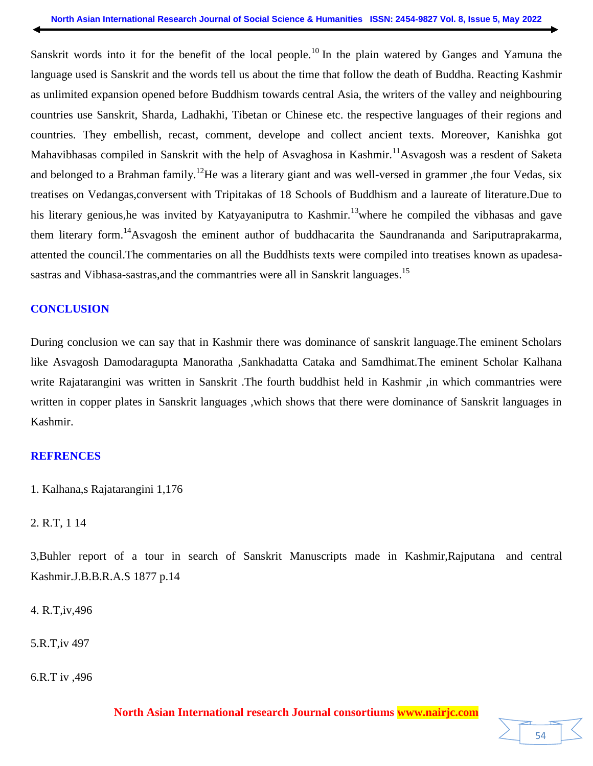Sanskrit words into it for the benefit of the local people.<sup>10</sup> In the plain watered by Ganges and Yamuna the language used is Sanskrit and the words tell us about the time that follow the death of Buddha. Reacting Kashmir as unlimited expansion opened before Buddhism towards central Asia, the writers of the valley and neighbouring countries use Sanskrit, Sharda, Ladhakhi, Tibetan or Chinese etc. the respective languages of their regions and countries. They embellish, recast, comment, develope and collect ancient texts. Moreover, Kanishka got Mahavibhasas compiled in Sanskrit with the help of Asvaghosa in Kashmir.<sup>11</sup>Asvagosh was a resdent of Saketa and belonged to a Brahman family.<sup>12</sup>He was a literary giant and was well-versed in grammer ,the four Vedas, six treatises on Vedangas,conversent with Tripitakas of 18 Schools of Buddhism and a laureate of literature.Due to his literary genious, he was invited by Katyayaniputra to Kashmir.<sup>13</sup> where he compiled the vibhasas and gave them literary form.<sup>14</sup>Asvagosh the eminent author of buddhacarita the Saundrananda and Sariputraprakarma, attented the council.The commentaries on all the Buddhists texts were compiled into treatises known as upadesasastras and Vibhasa-sastras, and the commantries were all in Sanskrit languages.<sup>15</sup>

#### **CONCLUSION**

During conclusion we can say that in Kashmir there was dominance of sanskrit language.The eminent Scholars like Asvagosh Damodaragupta Manoratha ,Sankhadatta Cataka and Samdhimat.The eminent Scholar Kalhana write Rajatarangini was written in Sanskrit .The fourth buddhist held in Kashmir ,in which commantries were written in copper plates in Sanskrit languages ,which shows that there were dominance of Sanskrit languages in Kashmir.

#### **REFRENCES**

1. Kalhana,s Rajatarangini 1,176

2. R.T, 1 14

3,Buhler report of a tour in search of Sanskrit Manuscripts made in Kashmir,Rajputana and central Kashmir.J.B.B.R.A.S 1877 p.14

4. R.T,iv,496

5.R.T,iv 497

6.R.T iv ,496

**North Asian International research Journal consortiums www.nairjc.com**